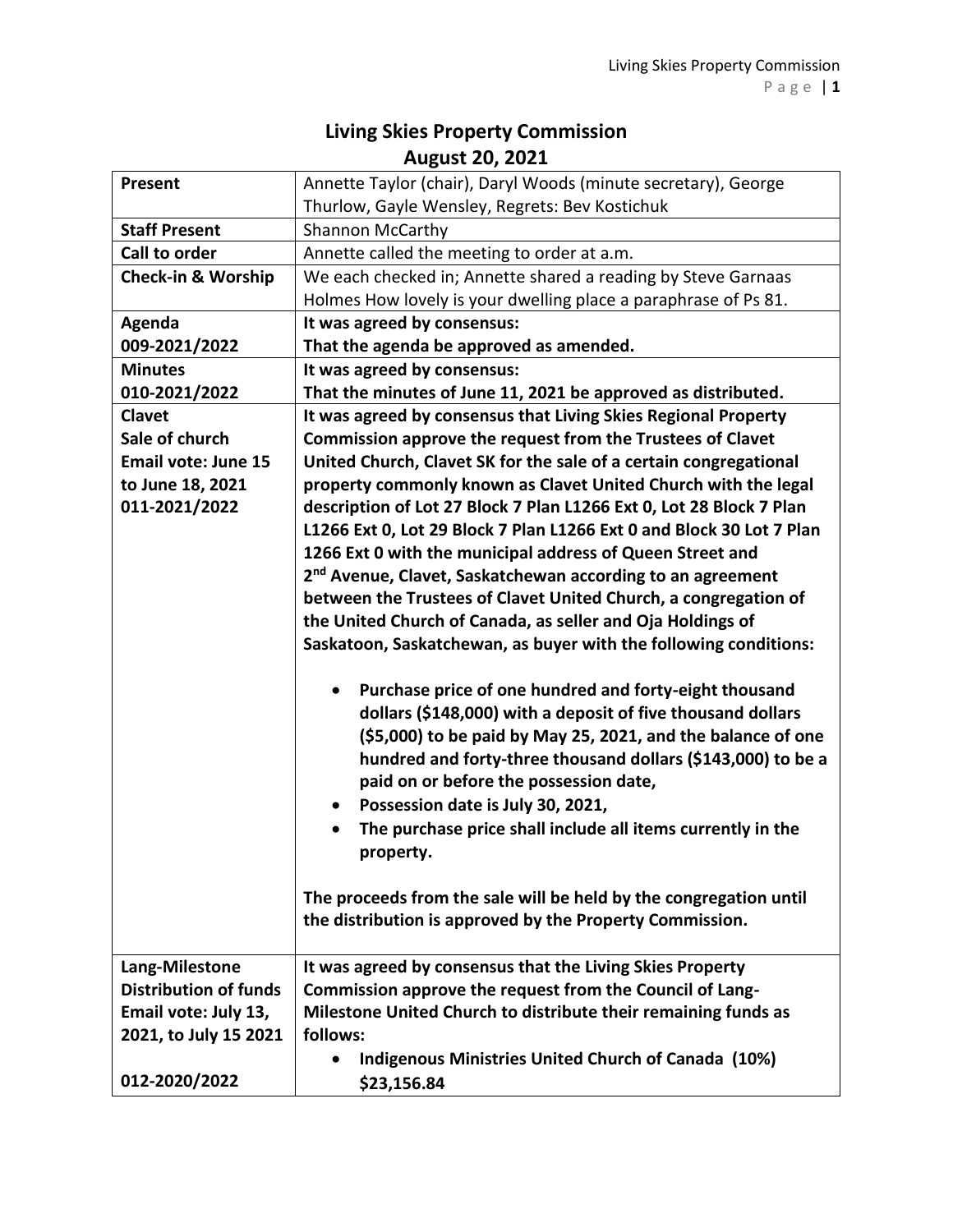## **Living Skies Property Commission August 20, 2021**

| Present                       | Annette Taylor (chair), Daryl Woods (minute secretary), George                                                                                                                                                                                                                                                                                                                                                                                                                                                                                                 |
|-------------------------------|----------------------------------------------------------------------------------------------------------------------------------------------------------------------------------------------------------------------------------------------------------------------------------------------------------------------------------------------------------------------------------------------------------------------------------------------------------------------------------------------------------------------------------------------------------------|
|                               | Thurlow, Gayle Wensley, Regrets: Bev Kostichuk                                                                                                                                                                                                                                                                                                                                                                                                                                                                                                                 |
| <b>Staff Present</b>          | <b>Shannon McCarthy</b>                                                                                                                                                                                                                                                                                                                                                                                                                                                                                                                                        |
| <b>Call to order</b>          | Annette called the meeting to order at a.m.                                                                                                                                                                                                                                                                                                                                                                                                                                                                                                                    |
| <b>Check-in &amp; Worship</b> | We each checked in; Annette shared a reading by Steve Garnaas                                                                                                                                                                                                                                                                                                                                                                                                                                                                                                  |
|                               | Holmes How lovely is your dwelling place a paraphrase of Ps 81.                                                                                                                                                                                                                                                                                                                                                                                                                                                                                                |
| Agenda                        | It was agreed by consensus:                                                                                                                                                                                                                                                                                                                                                                                                                                                                                                                                    |
| 009-2021/2022                 | That the agenda be approved as amended.                                                                                                                                                                                                                                                                                                                                                                                                                                                                                                                        |
| <b>Minutes</b>                | It was agreed by consensus:                                                                                                                                                                                                                                                                                                                                                                                                                                                                                                                                    |
| 010-2021/2022                 | That the minutes of June 11, 2021 be approved as distributed.                                                                                                                                                                                                                                                                                                                                                                                                                                                                                                  |
| Clavet                        | It was agreed by consensus that Living Skies Regional Property                                                                                                                                                                                                                                                                                                                                                                                                                                                                                                 |
| Sale of church                | Commission approve the request from the Trustees of Clavet                                                                                                                                                                                                                                                                                                                                                                                                                                                                                                     |
| <b>Email vote: June 15</b>    | United Church, Clavet SK for the sale of a certain congregational                                                                                                                                                                                                                                                                                                                                                                                                                                                                                              |
| to June 18, 2021              | property commonly known as Clavet United Church with the legal                                                                                                                                                                                                                                                                                                                                                                                                                                                                                                 |
| 011-2021/2022                 | description of Lot 27 Block 7 Plan L1266 Ext 0, Lot 28 Block 7 Plan                                                                                                                                                                                                                                                                                                                                                                                                                                                                                            |
|                               | L1266 Ext 0, Lot 29 Block 7 Plan L1266 Ext 0 and Block 30 Lot 7 Plan                                                                                                                                                                                                                                                                                                                                                                                                                                                                                           |
|                               | 1266 Ext 0 with the municipal address of Queen Street and                                                                                                                                                                                                                                                                                                                                                                                                                                                                                                      |
|                               | 2 <sup>nd</sup> Avenue, Clavet, Saskatchewan according to an agreement                                                                                                                                                                                                                                                                                                                                                                                                                                                                                         |
|                               | between the Trustees of Clavet United Church, a congregation of                                                                                                                                                                                                                                                                                                                                                                                                                                                                                                |
|                               | the United Church of Canada, as seller and Oja Holdings of                                                                                                                                                                                                                                                                                                                                                                                                                                                                                                     |
|                               | Saskatoon, Saskatchewan, as buyer with the following conditions:                                                                                                                                                                                                                                                                                                                                                                                                                                                                                               |
|                               | Purchase price of one hundred and forty-eight thousand<br>dollars (\$148,000) with a deposit of five thousand dollars<br>(\$5,000) to be paid by May 25, 2021, and the balance of one<br>hundred and forty-three thousand dollars (\$143,000) to be a<br>paid on or before the possession date,<br>Possession date is July 30, 2021,<br>The purchase price shall include all items currently in the<br>$\bullet$<br>property.<br>The proceeds from the sale will be held by the congregation until<br>the distribution is approved by the Property Commission. |
| Lang-Milestone                | It was agreed by consensus that the Living Skies Property                                                                                                                                                                                                                                                                                                                                                                                                                                                                                                      |
| <b>Distribution of funds</b>  | Commission approve the request from the Council of Lang-                                                                                                                                                                                                                                                                                                                                                                                                                                                                                                       |
| Email vote: July 13,          | Milestone United Church to distribute their remaining funds as                                                                                                                                                                                                                                                                                                                                                                                                                                                                                                 |
| 2021, to July 15 2021         | follows:                                                                                                                                                                                                                                                                                                                                                                                                                                                                                                                                                       |
|                               | <b>Indigenous Ministries United Church of Canada (10%)</b>                                                                                                                                                                                                                                                                                                                                                                                                                                                                                                     |
| 012-2020/2022                 | \$23,156.84                                                                                                                                                                                                                                                                                                                                                                                                                                                                                                                                                    |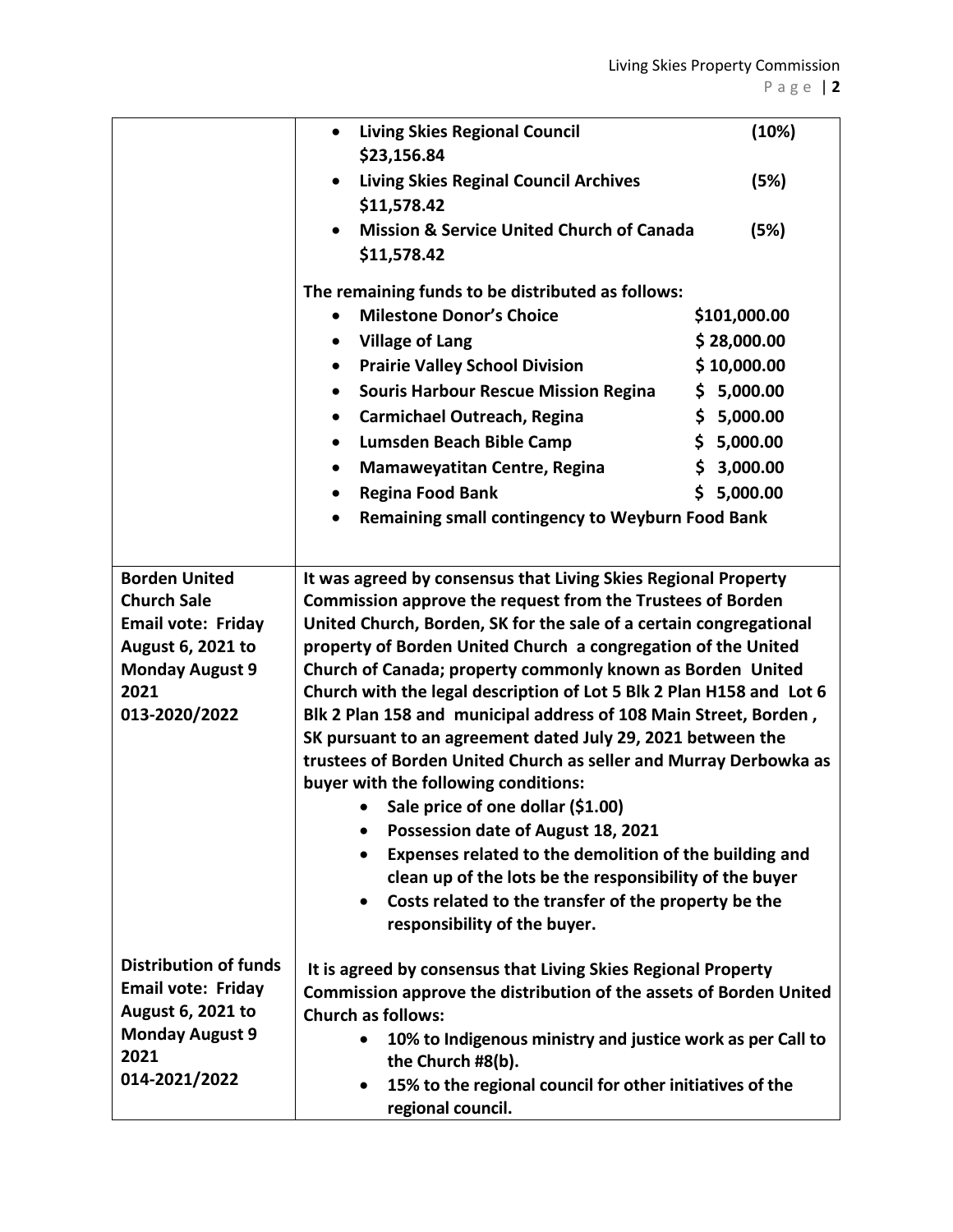|                                                                                                                                                 | <b>Living Skies Regional Council</b><br>$\bullet$<br>\$23,156.84                                                                                                                                                                                                                                                                                                                                                                                                                                                                                                                                                                                                                                                                                                                                                                                                                                                                                                      | (10%)        |
|-------------------------------------------------------------------------------------------------------------------------------------------------|-----------------------------------------------------------------------------------------------------------------------------------------------------------------------------------------------------------------------------------------------------------------------------------------------------------------------------------------------------------------------------------------------------------------------------------------------------------------------------------------------------------------------------------------------------------------------------------------------------------------------------------------------------------------------------------------------------------------------------------------------------------------------------------------------------------------------------------------------------------------------------------------------------------------------------------------------------------------------|--------------|
|                                                                                                                                                 | <b>Living Skies Reginal Council Archives</b><br>\$11,578.42                                                                                                                                                                                                                                                                                                                                                                                                                                                                                                                                                                                                                                                                                                                                                                                                                                                                                                           | (5%)         |
|                                                                                                                                                 | <b>Mission &amp; Service United Church of Canada</b><br>\$11,578.42                                                                                                                                                                                                                                                                                                                                                                                                                                                                                                                                                                                                                                                                                                                                                                                                                                                                                                   | (5%)         |
|                                                                                                                                                 | The remaining funds to be distributed as follows:                                                                                                                                                                                                                                                                                                                                                                                                                                                                                                                                                                                                                                                                                                                                                                                                                                                                                                                     |              |
|                                                                                                                                                 | <b>Milestone Donor's Choice</b>                                                                                                                                                                                                                                                                                                                                                                                                                                                                                                                                                                                                                                                                                                                                                                                                                                                                                                                                       | \$101,000.00 |
|                                                                                                                                                 | <b>Village of Lang</b><br>٠                                                                                                                                                                                                                                                                                                                                                                                                                                                                                                                                                                                                                                                                                                                                                                                                                                                                                                                                           | \$28,000.00  |
|                                                                                                                                                 | <b>Prairie Valley School Division</b><br>$\bullet$                                                                                                                                                                                                                                                                                                                                                                                                                                                                                                                                                                                                                                                                                                                                                                                                                                                                                                                    | \$10,000.00  |
|                                                                                                                                                 | <b>Souris Harbour Rescue Mission Regina</b><br>٠                                                                                                                                                                                                                                                                                                                                                                                                                                                                                                                                                                                                                                                                                                                                                                                                                                                                                                                      | \$5,000.00   |
|                                                                                                                                                 | <b>Carmichael Outreach, Regina</b><br>٠                                                                                                                                                                                                                                                                                                                                                                                                                                                                                                                                                                                                                                                                                                                                                                                                                                                                                                                               | \$5,000.00   |
|                                                                                                                                                 | Lumsden Beach Bible Camp<br>$\bullet$                                                                                                                                                                                                                                                                                                                                                                                                                                                                                                                                                                                                                                                                                                                                                                                                                                                                                                                                 | \$5,000.00   |
|                                                                                                                                                 | <b>Mamaweyatitan Centre, Regina</b><br>٠                                                                                                                                                                                                                                                                                                                                                                                                                                                                                                                                                                                                                                                                                                                                                                                                                                                                                                                              | \$3,000.00   |
|                                                                                                                                                 | <b>Regina Food Bank</b><br>$\bullet$                                                                                                                                                                                                                                                                                                                                                                                                                                                                                                                                                                                                                                                                                                                                                                                                                                                                                                                                  | \$5,000.00   |
|                                                                                                                                                 | <b>Remaining small contingency to Weyburn Food Bank</b><br>$\bullet$                                                                                                                                                                                                                                                                                                                                                                                                                                                                                                                                                                                                                                                                                                                                                                                                                                                                                                  |              |
|                                                                                                                                                 |                                                                                                                                                                                                                                                                                                                                                                                                                                                                                                                                                                                                                                                                                                                                                                                                                                                                                                                                                                       |              |
| <b>Borden United</b><br><b>Church Sale</b><br><b>Email vote: Friday</b><br>August 6, 2021 to<br><b>Monday August 9</b><br>2021<br>013-2020/2022 | It was agreed by consensus that Living Skies Regional Property<br><b>Commission approve the request from the Trustees of Borden</b><br>United Church, Borden, SK for the sale of a certain congregational<br>property of Borden United Church a congregation of the United<br>Church of Canada; property commonly known as Borden United<br>Church with the legal description of Lot 5 Blk 2 Plan H158 and Lot 6<br>Blk 2 Plan 158 and municipal address of 108 Main Street, Borden,<br>SK pursuant to an agreement dated July 29, 2021 between the<br>trustees of Borden United Church as seller and Murray Derbowka as<br>buyer with the following conditions:<br>Sale price of one dollar (\$1.00)<br>Possession date of August 18, 2021<br>$\bullet$<br>Expenses related to the demolition of the building and<br>clean up of the lots be the responsibility of the buyer<br>Costs related to the transfer of the property be the<br>responsibility of the buyer. |              |
| <b>Distribution of funds</b><br><b>Email vote: Friday</b><br>August 6, 2021 to<br><b>Monday August 9</b><br>2021<br>014-2021/2022               | It is agreed by consensus that Living Skies Regional Property<br>Commission approve the distribution of the assets of Borden United<br><b>Church as follows:</b><br>10% to Indigenous ministry and justice work as per Call to<br>$\bullet$<br>the Church #8(b).<br>15% to the regional council for other initiatives of the<br>$\bullet$<br>regional council.                                                                                                                                                                                                                                                                                                                                                                                                                                                                                                                                                                                                        |              |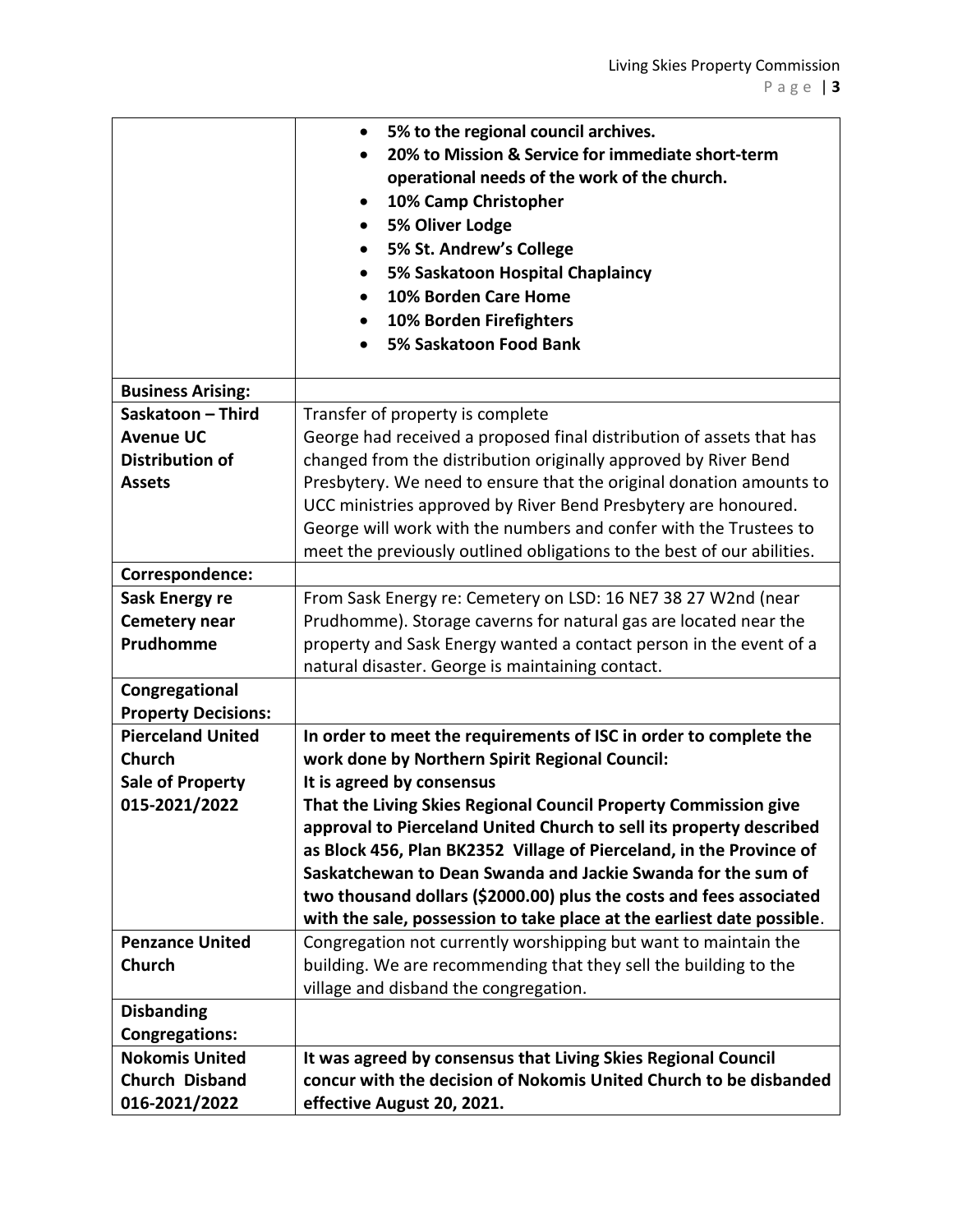|                            | 5% to the regional council archives.                                   |
|----------------------------|------------------------------------------------------------------------|
|                            | 20% to Mission & Service for immediate short-term<br>$\bullet$         |
|                            | operational needs of the work of the church.                           |
|                            | 10% Camp Christopher<br>$\bullet$                                      |
|                            | 5% Oliver Lodge                                                        |
|                            | 5% St. Andrew's College                                                |
|                            | 5% Saskatoon Hospital Chaplaincy                                       |
|                            | 10% Borden Care Home                                                   |
|                            | 10% Borden Firefighters                                                |
|                            | 5% Saskatoon Food Bank                                                 |
|                            |                                                                        |
| <b>Business Arising:</b>   |                                                                        |
| Saskatoon - Third          | Transfer of property is complete                                       |
| <b>Avenue UC</b>           | George had received a proposed final distribution of assets that has   |
| <b>Distribution of</b>     | changed from the distribution originally approved by River Bend        |
| <b>Assets</b>              | Presbytery. We need to ensure that the original donation amounts to    |
|                            | UCC ministries approved by River Bend Presbytery are honoured.         |
|                            | George will work with the numbers and confer with the Trustees to      |
|                            | meet the previously outlined obligations to the best of our abilities. |
| Correspondence:            |                                                                        |
| Sask Energy re             | From Sask Energy re: Cemetery on LSD: 16 NE7 38 27 W2nd (near          |
| <b>Cemetery near</b>       | Prudhomme). Storage caverns for natural gas are located near the       |
| Prudhomme                  | property and Sask Energy wanted a contact person in the event of a     |
|                            | natural disaster. George is maintaining contact.                       |
| Congregational             |                                                                        |
| <b>Property Decisions:</b> |                                                                        |
| <b>Pierceland United</b>   | In order to meet the requirements of ISC in order to complete the      |
| <b>Church</b>              | work done by Northern Spirit Regional Council:                         |
| <b>Sale of Property</b>    | It is agreed by consensus                                              |
| 015-2021/2022              | That the Living Skies Regional Council Property Commission give        |
|                            | approval to Pierceland United Church to sell its property described    |
|                            | as Block 456, Plan BK2352 Village of Pierceland, in the Province of    |
|                            | Saskatchewan to Dean Swanda and Jackie Swanda for the sum of           |
|                            | two thousand dollars (\$2000.00) plus the costs and fees associated    |
|                            | with the sale, possession to take place at the earliest date possible. |
| <b>Penzance United</b>     | Congregation not currently worshipping but want to maintain the        |
| <b>Church</b>              | building. We are recommending that they sell the building to the       |
|                            | village and disband the congregation.                                  |
| <b>Disbanding</b>          |                                                                        |
| <b>Congregations:</b>      |                                                                        |
| <b>Nokomis United</b>      | It was agreed by consensus that Living Skies Regional Council          |
| <b>Church Disband</b>      | concur with the decision of Nokomis United Church to be disbanded      |
| 016-2021/2022              | effective August 20, 2021.                                             |